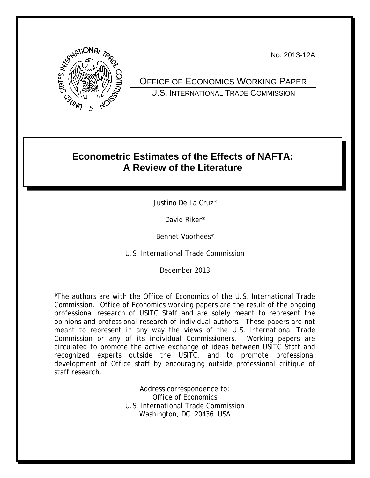No. 2013-12A



OFFICE OF ECONOMICS WORKING PAPER U.S. INTERNATIONAL TRADE COMMISSION

# **Econometric Estimates of the Effects of NAFTA: A Review of the Literature**

Justino De La Cruz\*

David Riker\*

Bennet Voorhees\*

U.S. International Trade Commission

December 2013

\*The authors are with the Office of Economics of the U.S. International Trade Commission. Office of Economics working papers are the result of the ongoing professional research of USITC Staff and are solely meant to represent the opinions and professional research of individual authors. These papers are not meant to represent in any way the views of the U.S. International Trade Commission or any of its individual Commissioners. Working papers are circulated to promote the active exchange of ideas between USITC Staff and recognized experts outside the USITC, and to promote professional development of Office staff by encouraging outside professional critique of staff research.

> Address correspondence to: Office of Economics U.S. International Trade Commission Washington, DC 20436 USA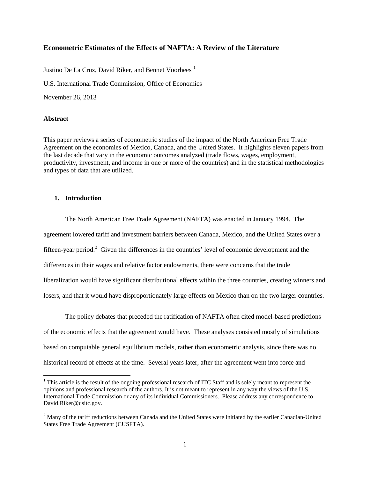# **Econometric Estimates of the Effects of NAFTA: A Review of the Literature**

Justino De La Cruz, David Riker, and Bennet Voorhees<sup>[1](#page-1-0)</sup>

U.S. International Trade Commission, Office of Economics

November 26, 2013

#### **Abstract**

 $\overline{\phantom{a}}$ 

This paper reviews a series of econometric studies of the impact of the North American Free Trade Agreement on the economies of Mexico, Canada, and the United States. It highlights eleven papers from the last decade that vary in the economic outcomes analyzed (trade flows, wages, employment, productivity, investment, and income in one or more of the countries) and in the statistical methodologies and types of data that are utilized.

#### **1. Introduction**

The North American Free Trade Agreement (NAFTA) was enacted in January 1994. The agreement lowered tariff and investment barriers between Canada, Mexico, and the United States over a fifteen-year period.<sup>[2](#page-1-1)</sup> Given the differences in the countries' level of economic development and the differences in their wages and relative factor endowments, there were concerns that the trade liberalization would have significant distributional effects within the three countries, creating winners and losers, and that it would have disproportionately large effects on Mexico than on the two larger countries.

The policy debates that preceded the ratification of NAFTA often cited model-based predictions of the economic effects that the agreement would have. These analyses consisted mostly of simulations based on computable general equilibrium models, rather than econometric analysis, since there was no historical record of effects at the time. Several years later, after the agreement went into force and

<span id="page-1-0"></span> $1$ <sup>1</sup> This article is the result of the ongoing professional research of ITC Staff and is solely meant to represent the opinions and professional research of the authors. It is not meant to represent in any way the views of the U.S. International Trade Commission or any of its individual Commissioners. Please address any correspondence to David.Riker@usitc.gov.

<span id="page-1-1"></span><sup>&</sup>lt;sup>2</sup> Many of the tariff reductions between Canada and the United States were initiated by the earlier Canadian-United States Free Trade Agreement (CUSFTA).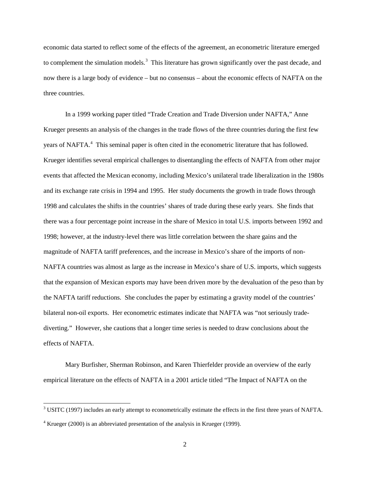economic data started to reflect some of the effects of the agreement, an econometric literature emerged to complement the simulation models.<sup>[3](#page-2-0)</sup> This literature has grown significantly over the past decade, and now there is a large body of evidence – but no consensus – about the economic effects of NAFTA on the three countries.

In a 1999 working paper titled "Trade Creation and Trade Diversion under NAFTA," Anne Krueger presents an analysis of the changes in the trade flows of the three countries during the first few years of NAFTA.<sup>[4](#page-2-1)</sup> This seminal paper is often cited in the econometric literature that has followed. Krueger identifies several empirical challenges to disentangling the effects of NAFTA from other major events that affected the Mexican economy, including Mexico's unilateral trade liberalization in the 1980s and its exchange rate crisis in 1994 and 1995. Her study documents the growth in trade flows through 1998 and calculates the shifts in the countries' shares of trade during these early years. She finds that there was a four percentage point increase in the share of Mexico in total U.S. imports between 1992 and 1998; however, at the industry-level there was little correlation between the share gains and the magnitude of NAFTA tariff preferences, and the increase in Mexico's share of the imports of non-NAFTA countries was almost as large as the increase in Mexico's share of U.S. imports, which suggests that the expansion of Mexican exports may have been driven more by the devaluation of the peso than by the NAFTA tariff reductions. She concludes the paper by estimating a gravity model of the countries' bilateral non-oil exports. Her econometric estimates indicate that NAFTA was "not seriously tradediverting." However, she cautions that a longer time series is needed to draw conclusions about the effects of NAFTA.

Mary Burfisher, Sherman Robinson, and Karen Thierfelder provide an overview of the early empirical literature on the effects of NAFTA in a 2001 article titled "The Impact of NAFTA on the

<span id="page-2-0"></span><sup>&</sup>lt;sup>3</sup> USITC (1997) includes an early attempt to econometrically estimate the effects in the first three years of NAFTA.

<span id="page-2-1"></span><sup>4</sup> Krueger (2000) is an abbreviated presentation of the analysis in Krueger (1999).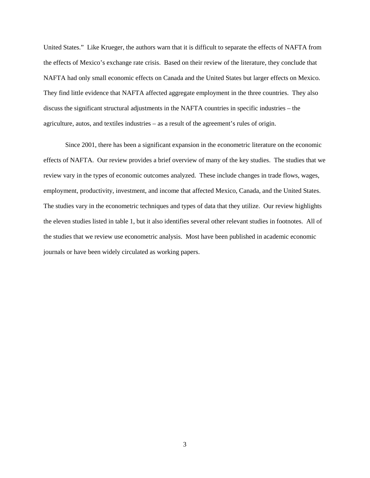United States." Like Krueger, the authors warn that it is difficult to separate the effects of NAFTA from the effects of Mexico's exchange rate crisis. Based on their review of the literature, they conclude that NAFTA had only small economic effects on Canada and the United States but larger effects on Mexico. They find little evidence that NAFTA affected aggregate employment in the three countries. They also discuss the significant structural adjustments in the NAFTA countries in specific industries – the agriculture, autos, and textiles industries – as a result of the agreement's rules of origin.

Since 2001, there has been a significant expansion in the econometric literature on the economic effects of NAFTA. Our review provides a brief overview of many of the key studies. The studies that we review vary in the types of economic outcomes analyzed. These include changes in trade flows, wages, employment, productivity, investment, and income that affected Mexico, Canada, and the United States. The studies vary in the econometric techniques and types of data that they utilize. Our review highlights the eleven studies listed in table 1, but it also identifies several other relevant studies in footnotes. All of the studies that we review use econometric analysis. Most have been published in academic economic journals or have been widely circulated as working papers.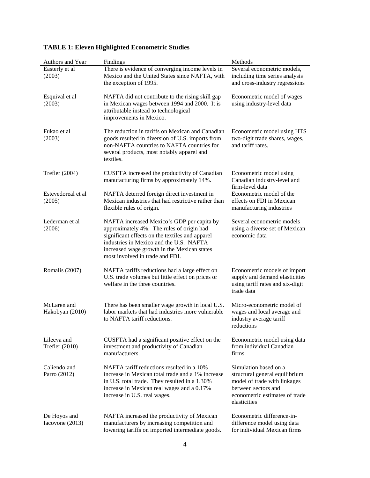| Authors and Year                | Findings                                                                                                                                                                                                                                                                | Methods                                                                                                                                                          |
|---------------------------------|-------------------------------------------------------------------------------------------------------------------------------------------------------------------------------------------------------------------------------------------------------------------------|------------------------------------------------------------------------------------------------------------------------------------------------------------------|
| Easterly et al<br>(2003)        | There is evidence of converging income levels in<br>Mexico and the United States since NAFTA, with<br>the exception of 1995.                                                                                                                                            | Several econometric models,<br>including time series analysis<br>and cross-industry regressions                                                                  |
| Esquival et al<br>(2003)        | NAFTA did not contribute to the rising skill gap<br>in Mexican wages between 1994 and 2000. It is<br>attributable instead to technological<br>improvements in Mexico.                                                                                                   | Econometric model of wages<br>using industry-level data                                                                                                          |
| Fukao et al<br>(2003)           | The reduction in tariffs on Mexican and Canadian<br>goods resulted in diversion of U.S. imports from<br>non-NAFTA countries to NAFTA countries for<br>several products, most notably apparel and<br>textiles.                                                           | Econometric model using HTS<br>two-digit trade shares, wages,<br>and tariff rates.                                                                               |
| Trefler $(2004)$                | CUSFTA increased the productivity of Canadian<br>manufacturing firms by approximately 14%.                                                                                                                                                                              | Econometric model using<br>Canadian industry-level and<br>firm-level data                                                                                        |
| Estevedoreal et al<br>(2005)    | NAFTA deterred foreign direct investment in<br>Mexican industries that had restrictive rather than<br>flexible rules of origin.                                                                                                                                         | Econometric model of the<br>effects on FDI in Mexican<br>manufacturing industries                                                                                |
| Lederman et al<br>(2006)        | NAFTA increased Mexico's GDP per capita by<br>approximately 4%. The rules of origin had<br>significant effects on the textiles and apparel<br>industries in Mexico and the U.S. NAFTA<br>increased wage growth in the Mexican states<br>most involved in trade and FDI. | Several econometric models<br>using a diverse set of Mexican<br>economic data                                                                                    |
| Romalis (2007)                  | NAFTA tariffs reductions had a large effect on<br>U.S. trade volumes but little effect on prices or<br>welfare in the three countries.                                                                                                                                  | Econometric models of import<br>supply and demand elasticities<br>using tariff rates and six-digit<br>trade data                                                 |
| McLaren and<br>Hakobyan (2010)  | There has been smaller wage growth in local U.S.<br>labor markets that had industries more vulnerable<br>to NAFTA tariff reductions.                                                                                                                                    | Micro-econometric model of<br>wages and local average and<br>industry average tariff<br>reductions                                                               |
| Lileeva and<br>Trefler (2010)   | CUSFTA had a significant positive effect on the<br>investment and productivity of Canadian<br>manufacturers.                                                                                                                                                            | Econometric model using data<br>from individual Canadian<br>firms                                                                                                |
| Caliendo and<br>Parro (2012)    | NAFTA tariff reductions resulted in a 10%<br>increase in Mexican total trade and a 1% increase<br>in U.S. total trade. They resulted in a 1.30%<br>increase in Mexican real wages and a 0.17%<br>increase in U.S. real wages.                                           | Simulation based on a<br>structural general equilibrium<br>model of trade with linkages<br>between sectors and<br>econometric estimates of trade<br>elasticities |
| De Hoyos and<br>Iacovone (2013) | NAFTA increased the productivity of Mexican<br>manufacturers by increasing competition and<br>lowering tariffs on imported intermediate goods.                                                                                                                          | Econometric difference-in-<br>difference model using data<br>for individual Mexican firms                                                                        |

# **TABLE 1: Eleven Highlighted Econometric Studies**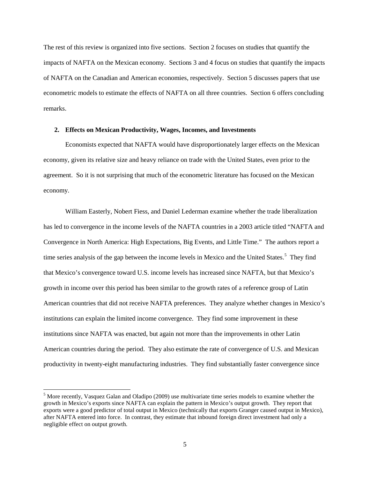The rest of this review is organized into five sections. Section 2 focuses on studies that quantify the impacts of NAFTA on the Mexican economy. Sections 3 and 4 focus on studies that quantify the impacts of NAFTA on the Canadian and American economies, respectively. Section 5 discusses papers that use econometric models to estimate the effects of NAFTA on all three countries. Section 6 offers concluding remarks.

#### **2. Effects on Mexican Productivity, Wages, Incomes, and Investments**

Economists expected that NAFTA would have disproportionately larger effects on the Mexican economy, given its relative size and heavy reliance on trade with the United States, even prior to the agreement. So it is not surprising that much of the econometric literature has focused on the Mexican economy.

William Easterly, Nobert Fiess, and Daniel Lederman examine whether the trade liberalization has led to convergence in the income levels of the NAFTA countries in a 2003 article titled "NAFTA and Convergence in North America: High Expectations, Big Events, and Little Time." The authors report a time series analysis of the gap between the income levels in Mexico and the United States.<sup>[5](#page-5-0)</sup> They find that Mexico's convergence toward U.S. income levels has increased since NAFTA, but that Mexico's growth in income over this period has been similar to the growth rates of a reference group of Latin American countries that did not receive NAFTA preferences. They analyze whether changes in Mexico's institutions can explain the limited income convergence. They find some improvement in these institutions since NAFTA was enacted, but again not more than the improvements in other Latin American countries during the period. They also estimate the rate of convergence of U.S. and Mexican productivity in twenty-eight manufacturing industries. They find substantially faster convergence since

<span id="page-5-0"></span><sup>5</sup> More recently, Vasquez Galan and Oladipo (2009) use multivariate time series models to examine whether the growth in Mexico's exports since NAFTA can explain the pattern in Mexico's output growth. They report that exports were a good predictor of total output in Mexico (technically that exports Granger caused output in Mexico), after NAFTA entered into force. In contrast, they estimate that inbound foreign direct investment had only a negligible effect on output growth.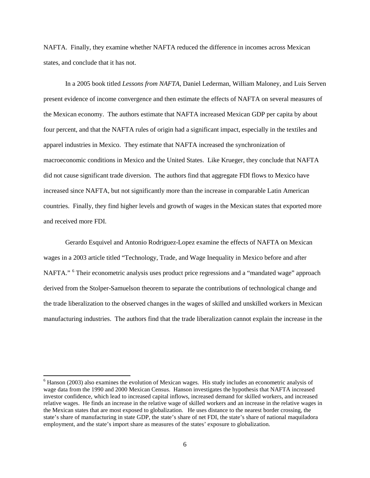NAFTA. Finally, they examine whether NAFTA reduced the difference in incomes across Mexican states, and conclude that it has not.

In a 2005 book titled *Lessons from NAFTA*, Daniel Lederman, William Maloney, and Luis Serven present evidence of income convergence and then estimate the effects of NAFTA on several measures of the Mexican economy. The authors estimate that NAFTA increased Mexican GDP per capita by about four percent, and that the NAFTA rules of origin had a significant impact, especially in the textiles and apparel industries in Mexico. They estimate that NAFTA increased the synchronization of macroeconomic conditions in Mexico and the United States. Like Krueger, they conclude that NAFTA did not cause significant trade diversion. The authors find that aggregate FDI flows to Mexico have increased since NAFTA, but not significantly more than the increase in comparable Latin American countries. Finally, they find higher levels and growth of wages in the Mexican states that exported more and received more FDI.

Gerardo Esquivel and Antonio Rodriguez-Lopez examine the effects of NAFTA on Mexican wages in a 2003 article titled "Technology, Trade, and Wage Inequality in Mexico before and after NAFTA." [6](#page-6-0) Their econometric analysis uses product price regressions and a "mandated wage" approach derived from the Stolper-Samuelson theorem to separate the contributions of technological change and the trade liberalization to the observed changes in the wages of skilled and unskilled workers in Mexican manufacturing industries. The authors find that the trade liberalization cannot explain the increase in the

<span id="page-6-0"></span> $6$  Hanson (2003) also examines the evolution of Mexican wages. His study includes an econometric analysis of wage data from the 1990 and 2000 Mexican Census. Hanson investigates the hypothesis that NAFTA increased investor confidence, which lead to increased capital inflows, increased demand for skilled workers, and increased relative wages. He finds an increase in the relative wage of skilled workers and an increase in the relative wages in the Mexican states that are most exposed to globalization. He uses distance to the nearest border crossing, the state's share of manufacturing in state GDP, the state's share of net FDI, the state's share of national maquiladora employment, and the state's import share as measures of the states' exposure to globalization.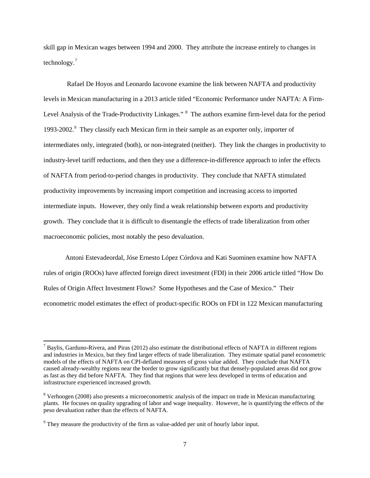skill gap in Mexican wages between 1994 and 2000. They attribute the increase entirely to changes in technology.[7](#page-7-0)

Rafael De Hoyos and Leonardo Iacovone examine the link between NAFTA and productivity levels in Mexican manufacturing in a 2013 article titled "Economic Performance under NAFTA: A Firm-Level Analysis of the Trade-Productivity Linkages." <sup>[8](#page-7-1)</sup> The authors examine firm-level data for the period 1[9](#page-7-2)93-2002.<sup>9</sup> They classify each Mexican firm in their sample as an exporter only, importer of intermediates only, integrated (both), or non-integrated (neither). They link the changes in productivity to industry-level tariff reductions, and then they use a difference-in-difference approach to infer the effects of NAFTA from period-to-period changes in productivity. They conclude that NAFTA stimulated productivity improvements by increasing import competition and increasing access to imported intermediate inputs. However, they only find a weak relationship between exports and productivity growth. They conclude that it is difficult to disentangle the effects of trade liberalization from other macroeconomic policies, most notably the peso devaluation.

Antoni Estevadeordal, Jóse Ernesto López Córdova and Kati Suominen examine how NAFTA rules of origin (ROOs) have affected foreign direct investment (FDI) in their 2006 article titled "How Do Rules of Origin Affect Investment Flows? Some Hypotheses and the Case of Mexico." Their econometric model estimates the effect of product-specific ROOs on FDI in 122 Mexican manufacturing

l

<span id="page-7-0"></span> $<sup>7</sup>$  Baylis, Garduno-Rivera, and Piras (2012) also estimate the distributional effects of NAFTA in different regions</sup> and industries in Mexico, but they find larger effects of trade liberalization. They estimate spatial panel econometric models of the effects of NAFTA on CPI-deflated measures of gross value added. They conclude that NAFTA caused already-wealthy regions near the border to grow significantly but that densely-populated areas did not grow as fast as they did before NAFTA. They find that regions that were less developed in terms of education and infrastructure experienced increased growth.

<span id="page-7-1"></span><sup>8</sup> Verhoogen (2008) also presents a microeconometric analysis of the impact on trade in Mexican manufacturing plants. He focuses on quality upgrading of labor and wage inequality. However, he is quantifying the effects of the peso devaluation rather than the effects of NAFTA.

<span id="page-7-2"></span> $9$  They measure the productivity of the firm as value-added per unit of hourly labor input.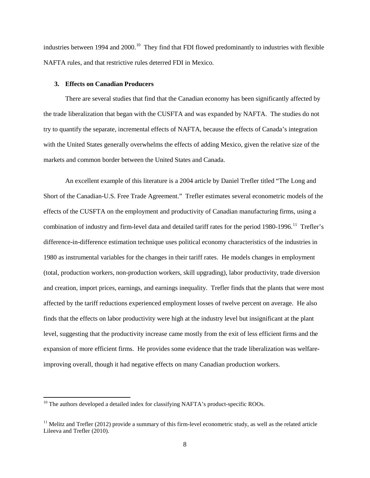industries between 1994 and 2000.<sup>10</sup> They find that FDI flowed predominantly to industries with flexible NAFTA rules, and that restrictive rules deterred FDI in Mexico.

#### **3. Effects on Canadian Producers**

There are several studies that find that the Canadian economy has been significantly affected by the trade liberalization that began with the CUSFTA and was expanded by NAFTA. The studies do not try to quantify the separate, incremental effects of NAFTA, because the effects of Canada's integration with the United States generally overwhelms the effects of adding Mexico, given the relative size of the markets and common border between the United States and Canada.

An excellent example of this literature is a 2004 article by Daniel Trefler titled "The Long and Short of the Canadian-U.S. Free Trade Agreement." Trefler estimates several econometric models of the effects of the CUSFTA on the employment and productivity of Canadian manufacturing firms, using a combination of industry and firm-level data and detailed tariff rates for the period 1980-1996.<sup>11</sup> Trefler's difference-in-difference estimation technique uses political economy characteristics of the industries in 1980 as instrumental variables for the changes in their tariff rates. He models changes in employment (total, production workers, non-production workers, skill upgrading), labor productivity, trade diversion and creation, import prices, earnings, and earnings inequality. Trefler finds that the plants that were most affected by the tariff reductions experienced employment losses of twelve percent on average. He also finds that the effects on labor productivity were high at the industry level but insignificant at the plant level, suggesting that the productivity increase came mostly from the exit of less efficient firms and the expansion of more efficient firms. He provides some evidence that the trade liberalization was welfareimproving overall, though it had negative effects on many Canadian production workers.

l

<span id="page-8-0"></span> $10$  The authors developed a detailed index for classifying NAFTA's product-specific ROOs.

<span id="page-8-1"></span> $11$  Melitz and Trefler (2012) provide a summary of this firm-level econometric study, as well as the related article Lileeva and Trefler (2010).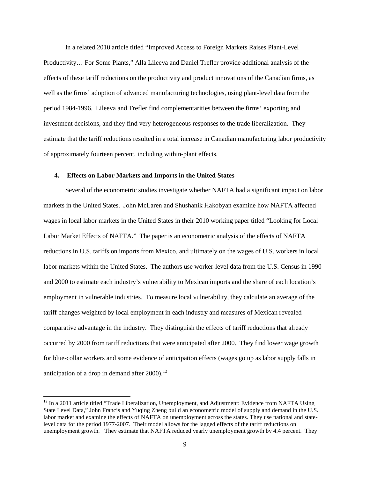In a related 2010 article titled "Improved Access to Foreign Markets Raises Plant-Level Productivity… For Some Plants," Alla Lileeva and Daniel Trefler provide additional analysis of the effects of these tariff reductions on the productivity and product innovations of the Canadian firms, as well as the firms' adoption of advanced manufacturing technologies, using plant-level data from the period 1984-1996. Lileeva and Trefler find complementarities between the firms' exporting and investment decisions, and they find very heterogeneous responses to the trade liberalization. They estimate that the tariff reductions resulted in a total increase in Canadian manufacturing labor productivity of approximately fourteen percent, including within-plant effects.

# **4. Effects on Labor Markets and Imports in the United States**

Several of the econometric studies investigate whether NAFTA had a significant impact on labor markets in the United States. John McLaren and Shushanik Hakobyan examine how NAFTA affected wages in local labor markets in the United States in their 2010 working paper titled "Looking for Local Labor Market Effects of NAFTA." The paper is an econometric analysis of the effects of NAFTA reductions in U.S. tariffs on imports from Mexico, and ultimately on the wages of U.S. workers in local labor markets within the United States. The authors use worker-level data from the U.S. Census in 1990 and 2000 to estimate each industry's vulnerability to Mexican imports and the share of each location's employment in vulnerable industries. To measure local vulnerability, they calculate an average of the tariff changes weighted by local employment in each industry and measures of Mexican revealed comparative advantage in the industry. They distinguish the effects of tariff reductions that already occurred by 2000 from tariff reductions that were anticipated after 2000. They find lower wage growth for blue-collar workers and some evidence of anticipation effects (wages go up as labor supply falls in anticipation of a drop in demand after  $2000$ .<sup>12</sup>

<span id="page-9-0"></span> $12$  In a 2011 article titled "Trade Liberalization, Unemployment, and Adjustment: Evidence from NAFTA Using State Level Data," John Francis and Yuqing Zheng build an econometric model of supply and demand in the U.S. labor market and examine the effects of NAFTA on unemployment across the states. They use national and statelevel data for the period 1977-2007. Their model allows for the lagged effects of the tariff reductions on unemployment growth. They estimate that NAFTA reduced yearly unemployment growth by 4.4 percent. They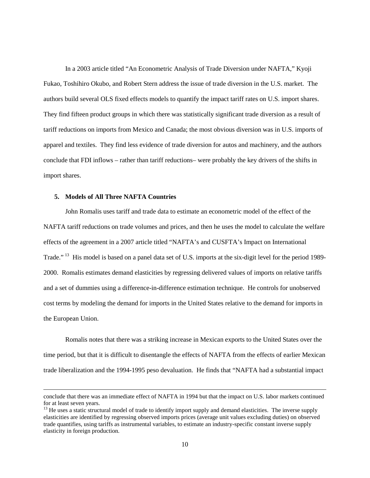In a 2003 article titled "An Econometric Analysis of Trade Diversion under NAFTA," Kyoji Fukao, Toshihiro Okubo, and Robert Stern address the issue of trade diversion in the U.S. market. The authors build several OLS fixed effects models to quantify the impact tariff rates on U.S. import shares. They find fifteen product groups in which there was statistically significant trade diversion as a result of tariff reductions on imports from Mexico and Canada; the most obvious diversion was in U.S. imports of apparel and textiles. They find less evidence of trade diversion for autos and machinery, and the authors conclude that FDI inflows – rather than tariff reductions– were probably the key drivers of the shifts in import shares.

## **5. Models of All Three NAFTA Countries**

 $\overline{\phantom{a}}$ 

John Romalis uses tariff and trade data to estimate an econometric model of the effect of the NAFTA tariff reductions on trade volumes and prices, and then he uses the model to calculate the welfare effects of the agreement in a 2007 article titled "NAFTA's and CUSFTA's Impact on International Trade."<sup>[13](#page-10-0)</sup> His model is based on a panel data set of U.S. imports at the six-digit level for the period 1989-2000. Romalis estimates demand elasticities by regressing delivered values of imports on relative tariffs and a set of dummies using a difference-in-difference estimation technique. He controls for unobserved cost terms by modeling the demand for imports in the United States relative to the demand for imports in the European Union.

Romalis notes that there was a striking increase in Mexican exports to the United States over the time period, but that it is difficult to disentangle the effects of NAFTA from the effects of earlier Mexican trade liberalization and the 1994-1995 peso devaluation. He finds that "NAFTA had a substantial impact

conclude that there was an immediate effect of NAFTA in 1994 but that the impact on U.S. labor markets continued for at least seven years.

<span id="page-10-0"></span> $<sup>13</sup>$  He uses a static structural model of trade to identify import supply and demand elasticities. The inverse supply</sup> elasticities are identified by regressing observed imports prices (average unit values excluding duties) on observed trade quantifies, using tariffs as instrumental variables, to estimate an industry-specific constant inverse supply elasticity in foreign production.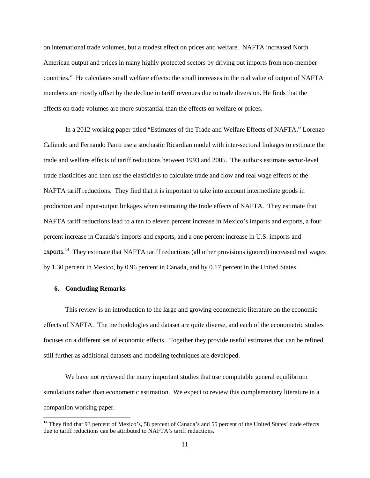on international trade volumes, but a modest effect on prices and welfare. NAFTA increased North American output and prices in many highly protected sectors by driving out imports from non-member countries." He calculates small welfare effects: the small increases in the real value of output of NAFTA members are mostly offset by the decline in tariff revenues due to trade diversion. He finds that the effects on trade volumes are more substantial than the effects on welfare or prices.

In a 2012 working paper titled "Estimates of the Trade and Welfare Effects of NAFTA," Lorenzo Caliendo and Fernando Parro use a stochastic Ricardian model with inter-sectoral linkages to estimate the trade and welfare effects of tariff reductions between 1993 and 2005. The authors estimate sector-level trade elasticities and then use the elasticities to calculate trade and flow and real wage effects of the NAFTA tariff reductions. They find that it is important to take into account intermediate goods in production and input-output linkages when estimating the trade effects of NAFTA. They estimate that NAFTA tariff reductions lead to a ten to eleven percent increase in Mexico's imports and exports, a four percent increase in Canada's imports and exports, and a one percent increase in U.S. imports and exports.<sup>14</sup> They estimate that NAFTA tariff reductions (all other provisions ignored) increased real wages by 1.30 percent in Mexico, by 0.96 percent in Canada, and by 0.17 percent in the United States.

# **6. Concluding Remarks**

l

This review is an introduction to the large and growing econometric literature on the economic effects of NAFTA. The methodologies and dataset are quite diverse, and each of the econometric studies focuses on a different set of economic effects. Together they provide useful estimates that can be refined still further as additional datasets and modeling techniques are developed.

We have not reviewed the many important studies that use computable general equilibrium simulations rather than econometric estimation. We expect to review this complementary literature in a companion working paper.

<span id="page-11-0"></span><sup>&</sup>lt;sup>14</sup> They find that 93 percent of Mexico's, 58 percent of Canada's and 55 percent of the United States' trade effects due to tariff reductions can be attributed to NAFTA's tariff reductions.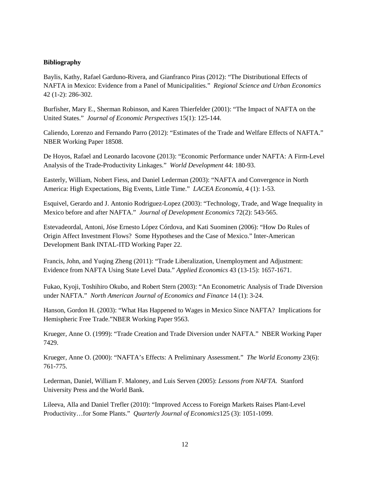# **Bibliography**

Baylis, Kathy, Rafael Garduno-Rivera, and Gianfranco Piras (2012): "The Distributional Effects of NAFTA in Mexico: Evidence from a Panel of Municipalities." *Regional Science and Urban Economics* 42 (1-2): 286-302.

Burfisher, Mary E., Sherman Robinson, and Karen Thierfelder (2001): "The Impact of NAFTA on the United States." *Journal of Economic Perspectives* 15(1): 125-144.

Caliendo, Lorenzo and Fernando Parro (2012): "Estimates of the Trade and Welfare Effects of NAFTA." NBER Working Paper 18508.

De Hoyos, Rafael and Leonardo Iacovone (2013): "Economic Performance under NAFTA: A Firm-Level Analysis of the Trade-Productivity Linkages." *World Development* 44: 180-93.

Easterly, William, Nobert Fiess, and Daniel Lederman (2003): "NAFTA and Convergence in North America: High Expectations, Big Events, Little Time." *LACEA Economía*, 4 (1): 1-53.

Esquivel, Gerardo and J. Antonio Rodriguez-Lopez (2003): "Technology, Trade, and Wage Inequality in Mexico before and after NAFTA." *Journal of Development Economics* 72(2): 543-565.

Estevadeordal, Antoni, Jóse Ernesto López Córdova, and Kati Suominen (2006): "How Do Rules of Origin Affect Investment Flows? Some Hypotheses and the Case of Mexico." Inter-American Development Bank INTAL-ITD Working Paper 22.

Francis, John, and Yuqing Zheng (2011): "Trade Liberalization, Unemployment and Adjustment: Evidence from NAFTA Using State Level Data." *Applied Economics* 43 (13-15): 1657-1671.

Fukao, Kyoji, Toshihiro Okubo, and Robert Stern (2003): "An Econometric Analysis of Trade Diversion under NAFTA." *North American Journal of Economics and Finance* 14 (1): 3-24.

Hanson, Gordon H. (2003): "What Has Happened to Wages in Mexico Since NAFTA? Implications for Hemispheric Free Trade."NBER Working Paper 9563.

Krueger, Anne O. (1999): "Trade Creation and Trade Diversion under NAFTA." NBER Working Paper 7429.

Krueger, Anne O. (2000): "NAFTA's Effects: A Preliminary Assessment." *The World Economy* 23(6): 761-775.

Lederman, Daniel, William F. Maloney, and Luis Serven (2005): *Lessons from NAFTA*. Stanford University Press and the World Bank.

Lileeva, Alla and Daniel Trefler (2010): "Improved Access to Foreign Markets Raises Plant-Level Productivity…for Some Plants." *Quarterly Journal of Economics*125 (3): 1051-1099.